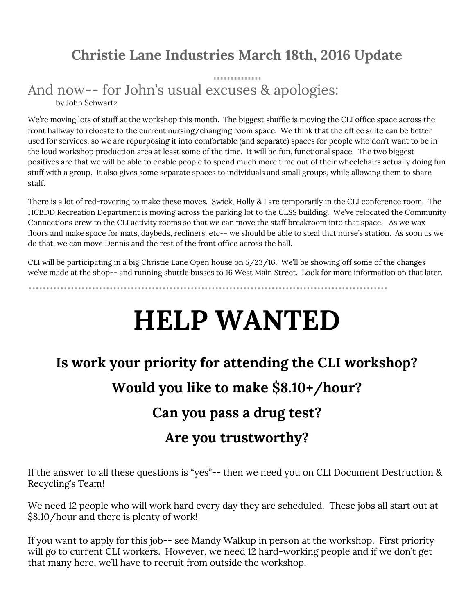#### **Christie Lane Industries March 18th, 2016 Update**

#### And now-- for John's usual excuses & apologies: by John Schwartz

We're moving lots of stuff at the workshop this month. The biggest shuffle is moving the CLI office space across the front hallway to relocate to the current nursing/changing room space. We think that the office suite can be better used for services, so we are repurposing it into comfortable (and separate) spaces for people who don't want to be in the loud workshop production area at least some of the time. It will be fun, functional space. The two biggest positives are that we will be able to enable people to spend much more time out of their wheelchairs actually doing fun stuff with a group. It also gives some separate spaces to individuals and small groups, while allowing them to share staff.

There is a lot of red-rovering to make these moves. Swick, Holly & I are temporarily in the CLI conference room. The HCBDD Recreation Department is moving across the parking lot to the CLSS building. We've relocated the Community Connections crew to the CLI activity rooms so that we can move the staff breakroom into that space. As we wax floors and make space for mats, daybeds, recliners, etc-- we should be able to steal that nurse's station. As soon as we do that, we can move Dennis and the rest of the front office across the hall.

CLI will be participating in a big Christie Lane Open house on 5/23/16. We'll be showing off some of the changes we've made at the shop-- and running shuttle busses to 16 West Main Street. Look for more information on that later.

# **HELP WANTED**

# **Is work your priority for attending the CLI workshop? Would you like to make \$8.10+/hour?**

# **Can you pass a drug test?**

#### **Are you trustworthy?**

If the answer to all these questions is "yes"-- then we need you on CLI Document Destruction & Recycling's Team!

We need 12 people who will work hard every day they are scheduled. These jobs all start out at \$8.10/hour and there is plenty of work!

If you want to apply for this job-- see Mandy Walkup in person at the workshop. First priority will go to current CLI workers. However, we need 12 hard-working people and if we don't get that many here, we'll have to recruit from outside the workshop.